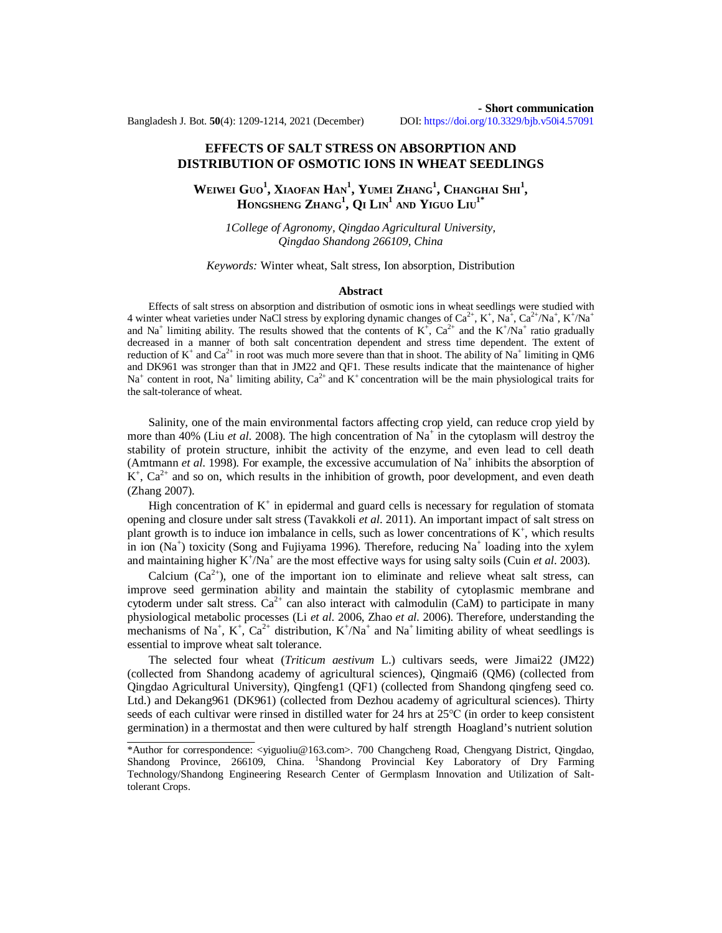# **EFFECTS OF SALT STRESS ON ABSORPTION AND DISTRIBUTION OF OSMOTIC IONS IN WHEAT SEEDLINGS**

**WEIWEI GUO<sup>1</sup> , XIAOFAN HAN<sup>1</sup> , YUMEI ZHANG<sup>1</sup> , CHANGHAI SHI<sup>1</sup> , HONGSHENG ZHANG<sup>1</sup> , Q<sup>I</sup> LIN<sup>1</sup> AND YIGUO LIU1\***

*1College of Agronomy, Qingdao Agricultural University, Qingdao Shandong 266109, China*

## *Keywords:* Winter wheat, Salt stress, Ion absorption, Distribution

#### **Abstract**

Effects of salt stress on absorption and distribution of osmotic ions in wheat seedlings were studied with 4 winter wheat varieties under NaCl stress by exploring dynamic changes of  $Ca^{2+}$ ,  $K^+$ , Na<sup>+</sup>,  $Ca^{2+}/Na^+$ ,  $K^+/Na^+$ and Na<sup>+</sup> limiting ability. The results showed that the contents of  $K^+$ ,  $Ca^{2+}$  and the  $K^+$ /Na<sup>+</sup> ratio gradually decreased in a manner of both salt concentration dependent and stress time dependent. The extent of reduction of  $K^+$  and  $Ca^{2+}$  in root was much more severe than that in shoot. The ability of Na<sup>+</sup> limiting in QM6 and DK961 was stronger than that in JM22 and QF1. These results indicate that the maintenance of higher Na<sup>+</sup> content in root, Na<sup>+</sup> limiting ability, Ca<sup>2+</sup> and K<sup>+</sup> concentration will be the main physiological traits for the salt-tolerance of wheat.

Salinity, one of the main environmental factors affecting crop yield, can reduce crop yield by more than 40% (Liu *et al.* 2008). The high concentration of Na<sup>+</sup> in the cytoplasm will destroy the stability of protein structure, inhibit the activity of the enzyme, and even lead to cell death (Amtmann  $et$   $al.$  1998). For example, the excessive accumulation of  $Na<sup>+</sup>$  inhibits the absorption of  $K^+$ ,  $Ca^{2+}$  and so on, which results in the inhibition of growth, poor development, and even death (Zhang 2007).

High concentration of  $K^+$  in epidermal and guard cells is necessary for regulation of stomata opening and closure under salt stress (Tavakkoli *et al*. 2011). An important impact of salt stress on plant growth is to induce ion imbalance in cells, such as lower concentrations of  $K^+$ , which results in ion  $(Na<sup>+</sup>)$  toxicity (Song and Fujiyama 1996). Therefore, reducing  $Na<sup>+</sup>$  loading into the xylem and maintaining higher  $K^{\dagger}/Na^{\dagger}$  are the most effective ways for using salty soils (Cuin *et al.* 2003).

Calcium  $(Ca^{2+})$ , one of the important ion to eliminate and relieve wheat salt stress, can improve seed germination ability and maintain the stability of cytoplasmic membrane and cytoderm under salt stress.  $Ca^{2+}$  can also interact with calmodulin (CaM) to participate in many physiological metabolic processes (Li *et al*. 2006, Zhao *et al*. 2006). Therefore, understanding the mechanisms of Na<sup>+</sup>, K<sup>+</sup>, Ca<sup>2+</sup> distribution, K<sup>+</sup>/Na<sup>+</sup> and Na<sup>+</sup> limiting ability of wheat seedlings is essential to improve wheat salt tolerance.

The selected four wheat (*Triticum aestivum* L.) cultivars seeds, were Jimai22 (JM22) (collected from Shandong academy of agricultural sciences), Qingmai6 (QM6) (collected from Qingdao Agricultural University), Qingfeng1 (QF1) (collected from Shandong qingfeng seed co. Ltd.) and Dekang961 (DK961) (collected from Dezhou academy of agricultural sciences). Thirty seeds of each cultivar were rinsed in distilled water for 24 hrs at 25℃ (in order to keep consistent germination) in a thermostat and then were cultured by half strength Hoagland's nutrient solution

<sup>\*</sup>Author for correspondence: <[yiguoliu@163.com>](mailto:yiguoliu@163.com). 700 Changcheng Road, Chengyang District, Qingdao, Shandong Province, 266109, China. <sup>1</sup>Shandong Provincial Key Laboratory of Dry Farming Technology/Shandong Engineering Research Center of Germplasm Innovation and Utilization of Salttolerant Crops.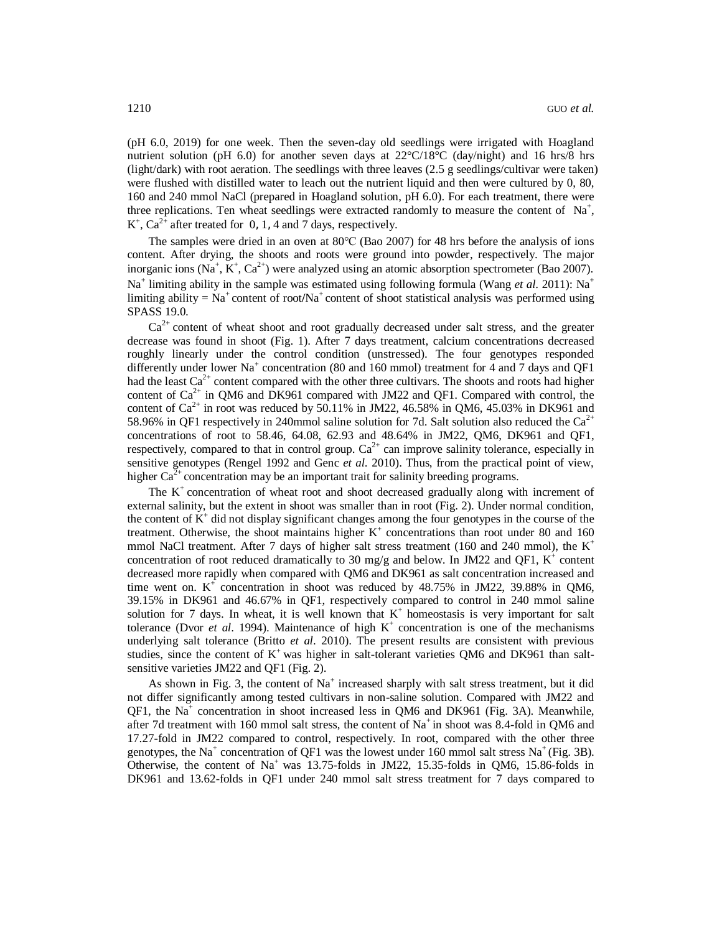(pH 6.0, 2019) for one week. Then the seven-day old seedlings were irrigated with Hoagland nutrient solution (pH 6.0) for another seven days at  $22^{\circ}C/18^{\circ}C$  (day/night) and 16 hrs/8 hrs (light/dark) with root aeration. The seedlings with three leaves (2.5 g seedlings/cultivar were taken) were flushed with distilled water to leach out the nutrient liquid and then were cultured by 0, 80, 160 and 240 mmol NaCl (prepared in Hoagland solution, pH 6.0). For each treatment, there were three replications. Ten wheat seedlings were extracted randomly to measure the content of  $Na^+$ ,  $K^+$ , Ca<sup>2+</sup> after treated for 0, 1, 4 and 7 days, respectively.

The samples were dried in an oven at 80℃ (Bao 2007) for 48 hrs before the analysis of ions content. After drying, the shoots and roots were ground into powder, respectively. The major inorganic ions (Na<sup>+</sup>, K<sup>+</sup>, Ca<sup>2+</sup>) were analyzed using an atomic absorption spectrometer (Bao 2007). Na<sup>+</sup> limiting ability in the sample was estimated using following formula (Wang *et al.* 2011): Na<sup>+</sup> limiting ability =  $Na<sup>+</sup>$  content of root/ $Na<sup>+</sup>$  content of shoot statistical analysis was performed using SPASS 19.0.

 $Ca<sup>2+</sup>$  content of wheat shoot and root gradually decreased under salt stress, and the greater decrease was found in shoot (Fig. 1). After 7 days treatment, calcium concentrations decreased roughly linearly under the control condition (unstressed). The four genotypes responded differently under lower Na<sup>+</sup> concentration (80 and 160 mmol) treatment for 4 and 7 days and QF1 had the least  $Ca^{2+}$  content compared with the other three cultivars. The shoots and roots had higher content of  $Ca^{2+}$  in QM6 and DK961 compared with JM22 and QF1. Compared with control, the content of  $Ca^{2+}$  in root was reduced by 50.11% in JM22, 46.58% in QM6, 45.03% in DK961 and 58.96% in QF1 respectively in 240mmol saline solution for 7d. Salt solution also reduced the  $Ca^{2+}$ concentrations of root to 58.46, 64.08, 62.93 and 48.64% in JM22, QM6, DK961 and QF1, respectively, compared to that in control group.  $Ca^{2+}$  can improve salinity tolerance, especially in sensitive genotypes (Rengel 1992 and Genc *et al*. 2010). Thus, from the practical point of view, higher  $Ca^{2+}$  concentration may be an important trait for salinity breeding programs.

The  $K<sup>+</sup>$  concentration of wheat root and shoot decreased gradually along with increment of external salinity, but the extent in shoot was smaller than in root (Fig. 2). Under normal condition, the content of  $K^+$  did not display significant changes among the four genotypes in the course of the treatment. Otherwise, the shoot maintains higher  $K^+$  concentrations than root under 80 and 160 mmol NaCl treatment. After 7 days of higher salt stress treatment (160 and 240 mmol), the  $K^+$ concentration of root reduced dramatically to 30 mg/g and below. In JM22 and QF1,  $K^+$  content decreased more rapidly when compared with QM6 and DK961 as salt concentration increased and time went on.  $K^+$  concentration in shoot was reduced by 48.75% in JM22, 39.88% in QM6, 39.15% in DK961 and 46.67% in QF1, respectively compared to control in 240 mmol saline solution for 7 days. In wheat, it is well known that  $K^+$  homeostasis is very important for salt tolerance (Dvor *et al.* 1994). Maintenance of high  $K^+$  concentration is one of the mechanisms underlying salt tolerance (Britto *et al*. 2010). The present results are consistent with previous studies, since the content of  $K^+$  was higher in salt-tolerant varieties QM6 and DK961 than saltsensitive varieties JM22 and QF1 (Fig. 2).

As shown in Fig. 3, the content of  $Na<sup>+</sup>$  increased sharply with salt stress treatment, but it did not differ significantly among tested cultivars in non-saline solution. Compared with JM22 and QF1, the Na<sup>+</sup> concentration in shoot increased less in QM6 and DK961 (Fig. 3A). Meanwhile, after 7d treatment with 160 mmol salt stress, the content of  $Na<sup>+</sup>$  in shoot was 8.4-fold in QM6 and 17.27-fold in JM22 compared to control, respectively. In root, compared with the other three genotypes, the Na<sup>+</sup> concentration of QF1 was the lowest under 160 mmol salt stress Na<sup>+</sup> (Fig. 3B). Otherwise, the content of  $Na<sup>+</sup>$  was 13.75-folds in JM22, 15.35-folds in QM6, 15.86-folds in DK961 and 13.62-folds in QF1 under 240 mmol salt stress treatment for 7 days compared to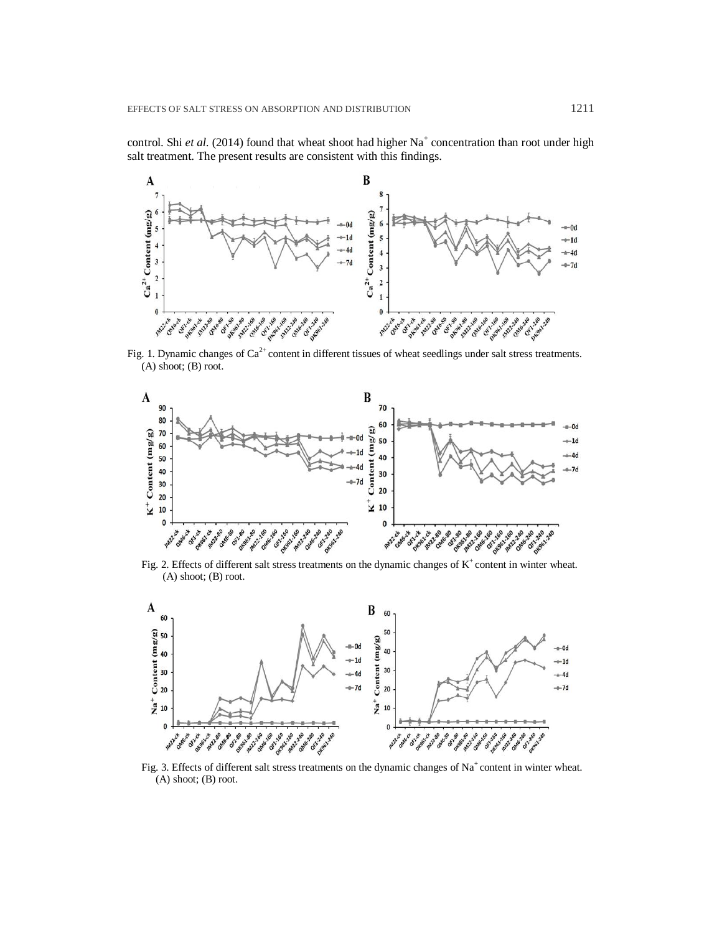control. Shi *et al.* (2014) found that wheat shoot had higher Na<sup>+</sup> concentration than root under high salt treatment. The present results are consistent with this findings.



Fig. 1. Dynamic changes of  $Ca^{2+}$  content in different tissues of wheat seedlings under salt stress treatments. (A) shoot; (B) root.



Fig. 2. Effects of different salt stress treatments on the dynamic changes of  $K^+$  content in winter wheat. (A) shoot; (B) root.



Fig. 3. Effects of different salt stress treatments on the dynamic changes of  $Na<sup>+</sup>$  content in winter wheat. (A) shoot; (B) root.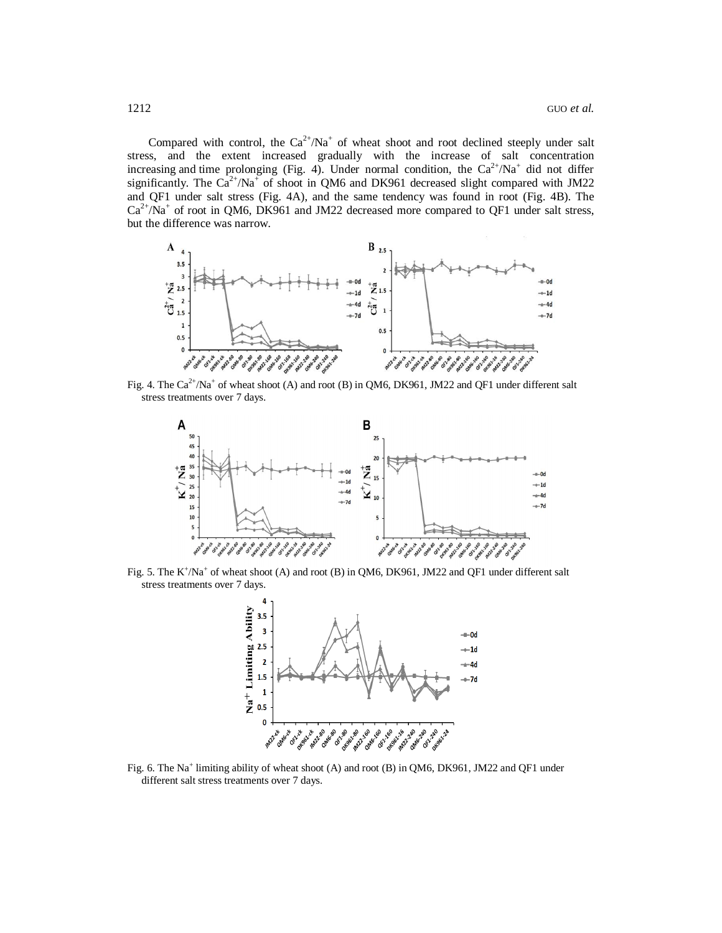Compared with control, the  $Ca^{2+}/Na^{+}$  of wheat shoot and root declined steeply under salt stress, and the extent increased gradually with the increase of salt concentration increasing and time prolonging (Fig. 4). Under normal condition, the  $Ca^{2+}/Na^{+}$  did not differ significantly. The  $Ca^{2+}/Na^{+}$  of shoot in QM6 and DK961 decreased slight compared with JM22 and QF1 under salt stress (Fig. 4A), and the same tendency was found in root (Fig. 4B). The  $Ca<sup>2+</sup>/Na<sup>+</sup>$  of root in QM6, DK961 and JM22 decreased more compared to QF1 under salt stress, but the difference was narrow.



Fig. 4. The  $Ca^{2+}/Na^{+}$  of wheat shoot (A) and root (B) in QM6, DK961, JM22 and QF1 under different salt stress treatments over 7 days.



Fig. 5. The  $K^{\dagger}/Na^{\dagger}$  of wheat shoot (A) and root (B) in QM6, DK961, JM22 and QF1 under different salt stress treatments over 7 days.



Fig. 6. The Na<sup>+</sup> limiting ability of wheat shoot (A) and root (B) in QM6, DK961, JM22 and QF1 under different salt stress treatments over 7 days.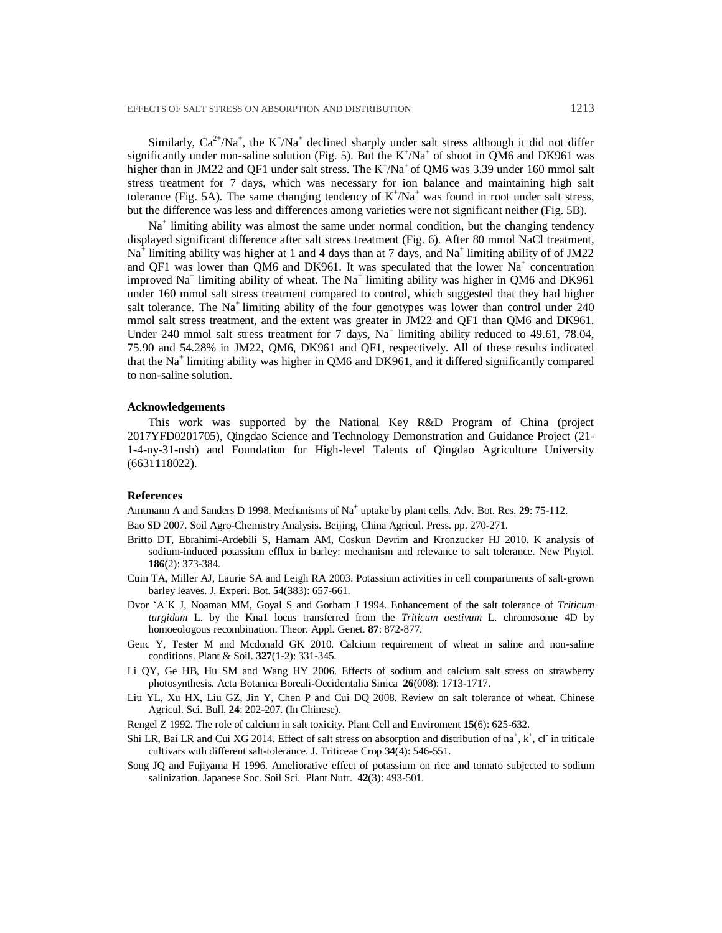Similarly,  $Ca^{2+}/Na^{+}$ , the K<sup>+</sup>/Na<sup>+</sup> declined sharply under salt stress although it did not differ significantly under non-saline solution (Fig. 5). But the  $K^{+}/Na^{+}$  of shoot in QM6 and DK961 was higher than in JM22 and QF1 under salt stress. The  $K^{\dagger}/Na^{\dagger}$  of QM6 was 3.39 under 160 mmol salt stress treatment for 7 days, which was necessary for ion balance and maintaining high salt tolerance (Fig. 5A). The same changing tendency of  $K^+/Na^+$  was found in root under salt stress, but the difference was less and differences among varieties were not significant neither (Fig. 5B).

Na<sup>+</sup> limiting ability was almost the same under normal condition, but the changing tendency displayed significant difference after salt stress treatment (Fig. 6). After 80 mmol NaCl treatment,  $Na<sup>+</sup>$  limiting ability was higher at 1 and 4 days than at 7 days, and  $Na<sup>+</sup>$  limiting ability of of JM22 and QF1 was lower than QM6 and DK961. It was speculated that the lower  $Na<sup>+</sup>$  concentration improved Na<sup>+</sup> limiting ability of wheat. The Na<sup>+</sup> limiting ability was higher in QM6 and DK961 under 160 mmol salt stress treatment compared to control, which suggested that they had higher salt tolerance. The  $Na<sup>+</sup>$  limiting ability of the four genotypes was lower than control under 240 mmol salt stress treatment, and the extent was greater in JM22 and QF1 than QM6 and DK961. Under 240 mmol salt stress treatment for  $7$  days, Na<sup>+</sup> limiting ability reduced to 49.61, 78.04, 75.90 and 54.28% in JM22, QM6, DK961 and QF1, respectively. All of these results indicated that the Na<sup>+</sup> limiting ability was higher in QM6 and DK961, and it differed significantly compared to non-saline solution.

### **Acknowledgements**

This work was supported by the National Key R&D Program of China (project 2017YFD0201705), Qingdao Science and Technology Demonstration and Guidance Project (21- 1-4-ny-31-nsh) and Foundation for High-level Talents of Qingdao Agriculture University (6631118022).

### **References**

Amtmann A and Sanders D 1998. Mechanisms of Na<sup>+</sup> uptake by plant cells. Adv. Bot. Res. 29: 75-112.

Bao SD 2007. Soil Agro-Chemistry Analysis. Beijing, China Agricul. Press. pp. 270-271.

- Britto DT, Ebrahimi-Ardebili S, Hamam AM, Coskun Devrim and Kronzucker HJ 2010. K analysis of sodium-induced potassium efflux in barley: mechanism and relevance to salt tolerance. New Phytol. **186**(2): 373-384.
- Cuin TA, Miller AJ, Laurie SA and Leigh RA 2003. Potassium activities in cell compartments of salt‐grown barley leaves. J. Experi. Bot. **54**(383): 657-661.
- Dvor ˇA´K J, Noaman MM, Goyal S and Gorham J 1994. Enhancement of the salt tolerance of *Triticum turgidum* L. by the Kna1 locus transferred from the *Triticum aestivum* L. chromosome 4D by homoeologous recombination. Theor. Appl. Genet. **87**: 872-877.
- Genc Y, Tester M and Mcdonald GK 2010. Calcium requirement of wheat in saline and non-saline conditions. Plant & Soil. **327**(1-2): 331-345.
- Li QY, Ge HB, Hu SM and Wang HY 2006. Effects of sodium and calcium salt stress on strawberry photosynthesis. Acta Botanica Boreali-Occidentalia Sinica **26**(008): 1713-1717.
- Liu YL, Xu HX, Liu GZ, Jin Y, Chen P and Cui DQ 2008. Review on salt tolerance of wheat. Chinese Agricul. Sci. Bull. **24**: 202-207. (In Chinese).
- Rengel Z 1992. The role of calcium in salt toxicity. Plant Cell and Enviroment **15**(6): 625-632.
- Shi LR, Bai LR and Cui XG 2014. Effect of salt stress on absorption and distribution of  $na^+$ ,  $k^+$ , cl in triticale cultivars with different salt-tolerance. J. Triticeae Crop **34**(4): 546-551.
- Song JQ and Fujiyama H 1996. Ameliorative effect of potassium on rice and tomato subjected to sodium salinization. Japanese Soc. Soil Sci. Plant Nutr. **42**(3): 493-501.